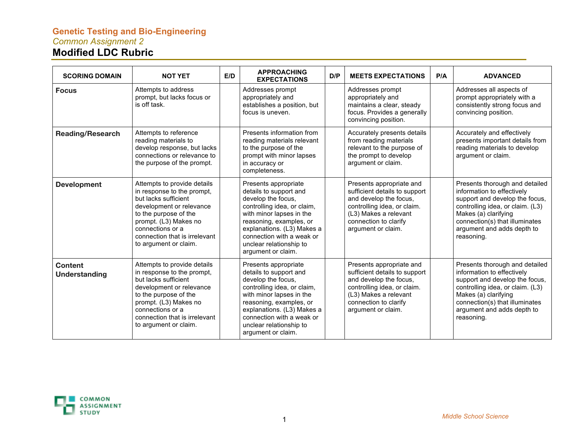## **Genetic Testing and Bio-Engineering** *Common Assignment 2* **Modified LDC Rubric**

| <b>SCORING DOMAIN</b>                  | <b>NOT YET</b>                                                                                                                                                                                                                                | E/D | <b>APPROACHING</b><br><b>EXPECTATIONS</b>                                                                                                                                                                                                                              | D/P | <b>MEETS EXPECTATIONS</b>                                                                                                                                                                  | P/A | <b>ADVANCED</b>                                                                                                                                                                                                                          |
|----------------------------------------|-----------------------------------------------------------------------------------------------------------------------------------------------------------------------------------------------------------------------------------------------|-----|------------------------------------------------------------------------------------------------------------------------------------------------------------------------------------------------------------------------------------------------------------------------|-----|--------------------------------------------------------------------------------------------------------------------------------------------------------------------------------------------|-----|------------------------------------------------------------------------------------------------------------------------------------------------------------------------------------------------------------------------------------------|
| <b>Focus</b>                           | Attempts to address<br>prompt, but lacks focus or<br>is off task.                                                                                                                                                                             |     | Addresses prompt<br>appropriately and<br>establishes a position, but<br>focus is uneven.                                                                                                                                                                               |     | Addresses prompt<br>appropriately and<br>maintains a clear, steady<br>focus. Provides a generally<br>convincing position.                                                                  |     | Addresses all aspects of<br>prompt appropriately with a<br>consistently strong focus and<br>convincing position.                                                                                                                         |
| <b>Reading/Research</b>                | Attempts to reference<br>reading materials to<br>develop response, but lacks<br>connections or relevance to<br>the purpose of the prompt.                                                                                                     |     | Presents information from<br>reading materials relevant<br>to the purpose of the<br>prompt with minor lapses<br>in accuracy or<br>completeness.                                                                                                                        |     | Accurately presents details<br>from reading materials<br>relevant to the purpose of<br>the prompt to develop<br>argument or claim.                                                         |     | Accurately and effectively<br>presents important details from<br>reading materials to develop<br>argument or claim.                                                                                                                      |
| <b>Development</b>                     | Attempts to provide details<br>in response to the prompt,<br>but lacks sufficient<br>development or relevance<br>to the purpose of the<br>prompt. (L3) Makes no<br>connections or a<br>connection that is irrelevant<br>to argument or claim. |     | Presents appropriate<br>details to support and<br>develop the focus,<br>controlling idea, or claim,<br>with minor lapses in the<br>reasoning, examples, or<br>explanations. (L3) Makes a<br>connection with a weak or<br>unclear relationship to<br>argument or claim. |     | Presents appropriate and<br>sufficient details to support<br>and develop the focus,<br>controlling idea, or claim.<br>(L3) Makes a relevant<br>connection to clarify<br>argument or claim. |     | Presents thorough and detailed<br>information to effectively<br>support and develop the focus,<br>controlling idea, or claim. (L3)<br>Makes (a) clarifying<br>connection(s) that illuminates<br>argument and adds depth to<br>reasoning. |
| <b>Content</b><br><b>Understanding</b> | Attempts to provide details<br>in response to the prompt,<br>but lacks sufficient<br>development or relevance<br>to the purpose of the<br>prompt. (L3) Makes no<br>connections or a<br>connection that is irrelevant<br>to argument or claim. |     | Presents appropriate<br>details to support and<br>develop the focus,<br>controlling idea, or claim,<br>with minor lapses in the<br>reasoning, examples, or<br>explanations. (L3) Makes a<br>connection with a weak or<br>unclear relationship to<br>argument or claim. |     | Presents appropriate and<br>sufficient details to support<br>and develop the focus,<br>controlling idea, or claim.<br>(L3) Makes a relevant<br>connection to clarify<br>argument or claim. |     | Presents thorough and detailed<br>information to effectively<br>support and develop the focus,<br>controlling idea, or claim. (L3)<br>Makes (a) clarifying<br>connection(s) that illuminates<br>argument and adds depth to<br>reasoning. |